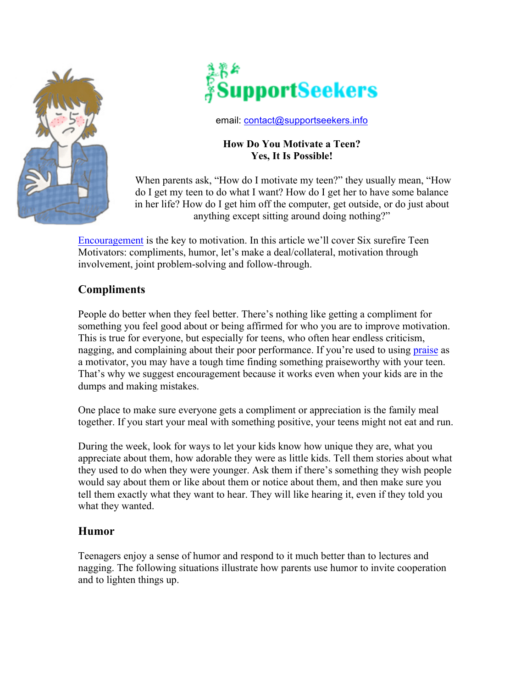



email: contact@supportseekers.info

### **How Do You Motivate a Teen? Yes, It Is Possible!**

When parents ask, "How do I motivate my teen?" they usually mean, "How do I get my teen to do what I want? How do I get her to have some balance in her life? How do I get him off the computer, get outside, or do just about anything except sitting around doing nothing?"

Encouragement is the key to motivation. In this article we'll cover Six surefire Teen Motivators: compliments, humor, let's make a deal/collateral, motivation through involvement, joint problem-solving and follow-through.

# **Compliments**

People do better when they feel better. There's nothing like getting a compliment for something you feel good about or being affirmed for who you are to improve motivation. This is true for everyone, but especially for teens, who often hear endless criticism, nagging, and complaining about their poor performance. If you're used to using praise as a motivator, you may have a tough time finding something praiseworthy with your teen. That's why we suggest encouragement because it works even when your kids are in the dumps and making mistakes.

One place to make sure everyone gets a compliment or appreciation is the family meal together. If you start your meal with something positive, your teens might not eat and run.

During the week, look for ways to let your kids know how unique they are, what you appreciate about them, how adorable they were as little kids. Tell them stories about what they used to do when they were younger. Ask them if there's something they wish people would say about them or like about them or notice about them, and then make sure you tell them exactly what they want to hear. They will like hearing it, even if they told you what they wanted.

## **Humor**

Teenagers enjoy a sense of humor and respond to it much better than to lectures and nagging. The following situations illustrate how parents use humor to invite cooperation and to lighten things up.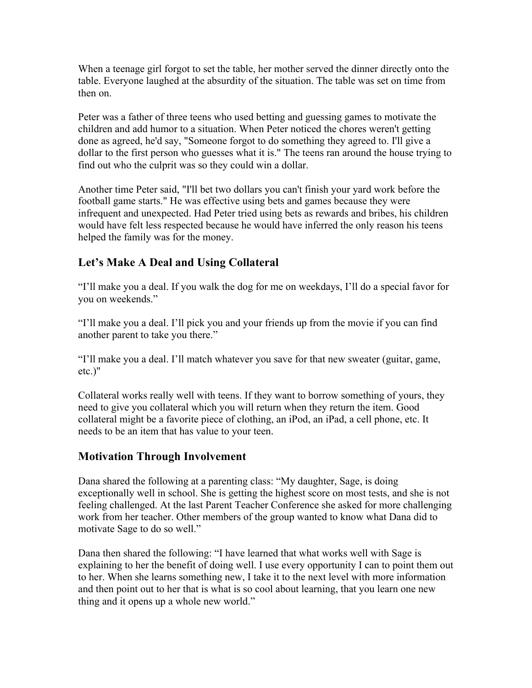When a teenage girl forgot to set the table, her mother served the dinner directly onto the table. Everyone laughed at the absurdity of the situation. The table was set on time from then on.

Peter was a father of three teens who used betting and guessing games to motivate the children and add humor to a situation. When Peter noticed the chores weren't getting done as agreed, he'd say, "Someone forgot to do something they agreed to. I'll give a dollar to the first person who guesses what it is." The teens ran around the house trying to find out who the culprit was so they could win a dollar.

Another time Peter said, "I'll bet two dollars you can't finish your yard work before the football game starts." He was effective using bets and games because they were infrequent and unexpected. Had Peter tried using bets as rewards and bribes, his children would have felt less respected because he would have inferred the only reason his teens helped the family was for the money.

# **Let's Make A Deal and Using Collateral**

"I'll make you a deal. If you walk the dog for me on weekdays, I'll do a special favor for you on weekends."

"I'll make you a deal. I'll pick you and your friends up from the movie if you can find another parent to take you there."

"I'll make you a deal. I'll match whatever you save for that new sweater (guitar, game, etc.)"

Collateral works really well with teens. If they want to borrow something of yours, they need to give you collateral which you will return when they return the item. Good collateral might be a favorite piece of clothing, an iPod, an iPad, a cell phone, etc. It needs to be an item that has value to your teen.

# **Motivation Through Involvement**

Dana shared the following at a parenting class: "My daughter, Sage, is doing exceptionally well in school. She is getting the highest score on most tests, and she is not feeling challenged. At the last Parent Teacher Conference she asked for more challenging work from her teacher. Other members of the group wanted to know what Dana did to motivate Sage to do so well."

Dana then shared the following: "I have learned that what works well with Sage is explaining to her the benefit of doing well. I use every opportunity I can to point them out to her. When she learns something new, I take it to the next level with more information and then point out to her that is what is so cool about learning, that you learn one new thing and it opens up a whole new world."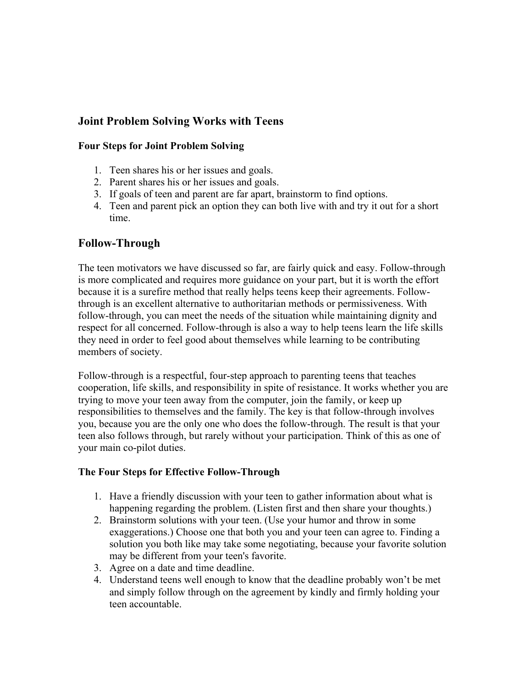## **Joint Problem Solving Works with Teens**

#### **Four Steps for Joint Problem Solving**

- 1. Teen shares his or her issues and goals.
- 2. Parent shares his or her issues and goals.
- 3. If goals of teen and parent are far apart, brainstorm to find options.
- 4. Teen and parent pick an option they can both live with and try it out for a short time.

### **Follow-Through**

The teen motivators we have discussed so far, are fairly quick and easy. Follow-through is more complicated and requires more guidance on your part, but it is worth the effort because it is a surefire method that really helps teens keep their agreements. Followthrough is an excellent alternative to authoritarian methods or permissiveness. With follow-through, you can meet the needs of the situation while maintaining dignity and respect for all concerned. Follow-through is also a way to help teens learn the life skills they need in order to feel good about themselves while learning to be contributing members of society.

Follow-through is a respectful, four-step approach to parenting teens that teaches cooperation, life skills, and responsibility in spite of resistance. It works whether you are trying to move your teen away from the computer, join the family, or keep up responsibilities to themselves and the family. The key is that follow-through involves you, because you are the only one who does the follow-through. The result is that your teen also follows through, but rarely without your participation. Think of this as one of your main co-pilot duties.

#### **The Four Steps for Effective Follow-Through**

- 1. Have a friendly discussion with your teen to gather information about what is happening regarding the problem. (Listen first and then share your thoughts.)
- 2. Brainstorm solutions with your teen. (Use your humor and throw in some exaggerations.) Choose one that both you and your teen can agree to. Finding a solution you both like may take some negotiating, because your favorite solution may be different from your teen's favorite.
- 3. Agree on a date and time deadline.
- 4. Understand teens well enough to know that the deadline probably won't be met and simply follow through on the agreement by kindly and firmly holding your teen accountable.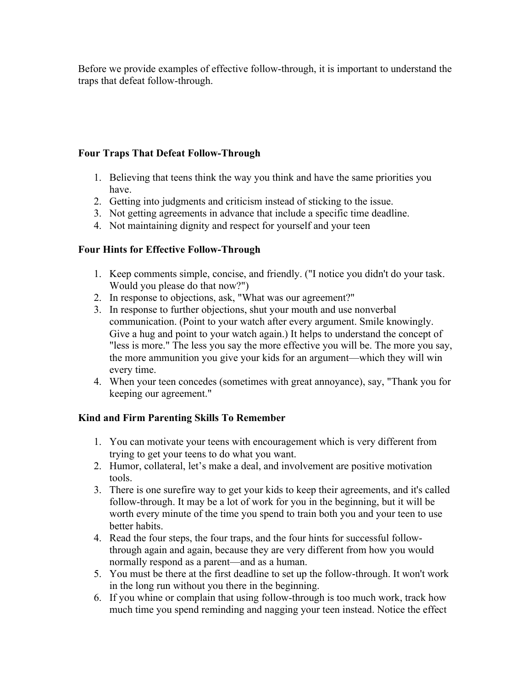Before we provide examples of effective follow-through, it is important to understand the traps that defeat follow-through.

#### **Four Traps That Defeat Follow-Through**

- 1. Believing that teens think the way you think and have the same priorities you have.
- 2. Getting into judgments and criticism instead of sticking to the issue.
- 3. Not getting agreements in advance that include a specific time deadline.
- 4. Not maintaining dignity and respect for yourself and your teen

### **Four Hints for Effective Follow-Through**

- 1. Keep comments simple, concise, and friendly. ("I notice you didn't do your task. Would you please do that now?")
- 2. In response to objections, ask, "What was our agreement?"
- 3. In response to further objections, shut your mouth and use nonverbal communication. (Point to your watch after every argument. Smile knowingly. Give a hug and point to your watch again.) It helps to understand the concept of "less is more." The less you say the more effective you will be. The more you say, the more ammunition you give your kids for an argument—which they will win every time.
- 4. When your teen concedes (sometimes with great annoyance), say, "Thank you for keeping our agreement."

## **Kind and Firm Parenting Skills To Remember**

- 1. You can motivate your teens with encouragement which is very different from trying to get your teens to do what you want.
- 2. Humor, collateral, let's make a deal, and involvement are positive motivation tools.
- 3. There is one surefire way to get your kids to keep their agreements, and it's called follow-through. It may be a lot of work for you in the beginning, but it will be worth every minute of the time you spend to train both you and your teen to use better habits.
- 4. Read the four steps, the four traps, and the four hints for successful followthrough again and again, because they are very different from how you would normally respond as a parent—and as a human.
- 5. You must be there at the first deadline to set up the follow-through. It won't work in the long run without you there in the beginning.
- 6. If you whine or complain that using follow-through is too much work, track how much time you spend reminding and nagging your teen instead. Notice the effect